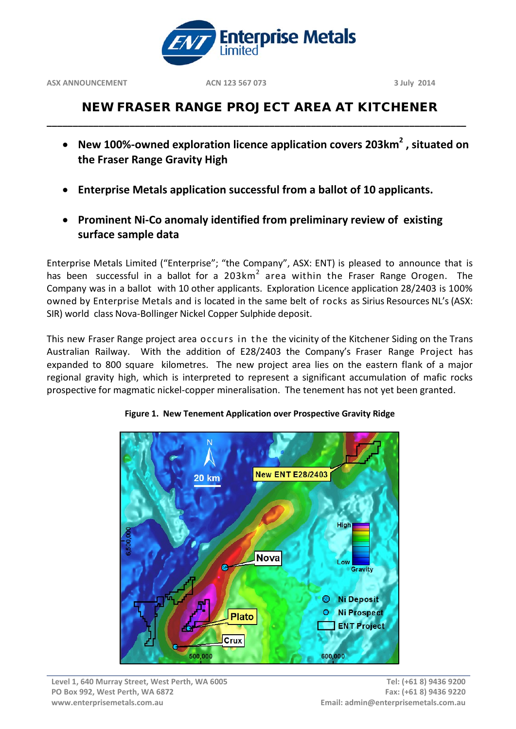

# NEW FRASER RANGE PROJECT AREA AT KITCHENER

**\_\_\_\_\_\_\_\_\_\_\_\_\_\_\_\_\_\_\_\_\_\_\_\_\_\_\_\_\_\_\_\_\_\_\_\_\_\_\_\_\_\_\_\_\_\_\_\_\_\_\_\_\_\_\_\_\_\_\_\_\_\_\_\_\_\_\_\_\_\_\_\_\_\_\_\_\_\_\_\_\_**

- **New 100%-owned exploration licence application covers 203km2 , situated on the Fraser Range Gravity High**
- **Enterprise Metals application successful from a ballot of 10 applicants.**
- **Prominent Ni-Co anomaly identified from preliminary review of existing surface sample data**

Enterprise Metals Limited ("Enterprise"; "the Company", ASX: ENT) is pleased to announce that is has been successful in a ballot for a  $203 \text{km}^2$  area within the Fraser Range Orogen. The Company was in a ballot with 10 other applicants. Exploration Licence application 28/2403 is 100% owned by Enterprise Metals and is located in the same belt of rocks as Sirius Resources NL's (ASX: SIR) world class Nova-Bollinger Nickel Copper Sulphide deposit.

This new Fraser Range project area occurs in the the vicinity of the Kitchener Siding on the Trans Australian Railway. With the addition of E28/2403 the Company's Fraser Range Project has expanded to 800 square kilometres. The new project area lies on the eastern flank of a major regional gravity high, which is interpreted to represent a significant accumulation of mafic rocks prospective for magmatic nickel-copper mineralisation. The tenement has not yet been granted.



**Figure 1. New Tenement Application over Prospective Gravity Ridge**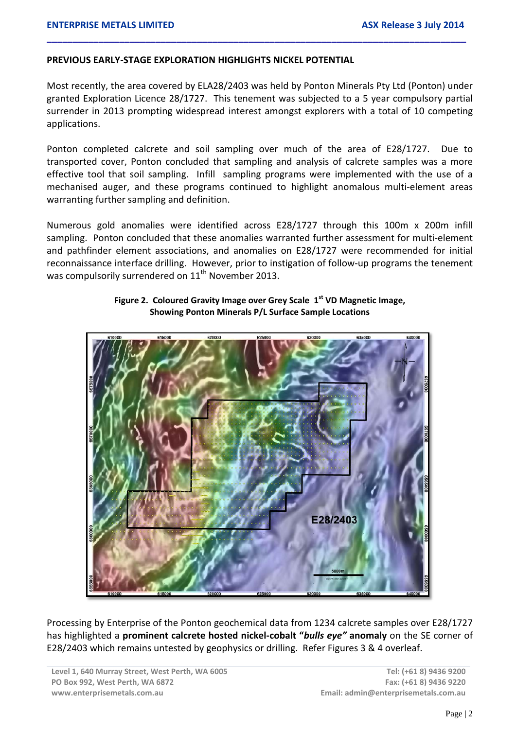### **PREVIOUS EARLY-STAGE EXPLORATION HIGHLIGHTS NICKEL POTENTIAL**

Most recently, the area covered by ELA28/2403 was held by Ponton Minerals Pty Ltd (Ponton) under granted Exploration Licence 28/1727. This tenement was subjected to a 5 year compulsory partial surrender in 2013 prompting widespread interest amongst explorers with a total of 10 competing applications.

**\_\_\_\_\_\_\_\_\_\_\_\_\_\_\_\_\_\_\_\_\_\_\_\_\_\_\_\_\_\_\_\_\_\_\_\_\_\_\_\_\_\_\_\_\_\_\_\_\_\_\_\_\_\_\_\_\_\_\_\_\_\_\_\_\_\_\_\_\_\_\_\_\_\_\_\_\_\_\_\_\_**

Ponton completed calcrete and soil sampling over much of the area of E28/1727. Due to transported cover, Ponton concluded that sampling and analysis of calcrete samples was a more effective tool that soil sampling. Infill sampling programs were implemented with the use of a mechanised auger, and these programs continued to highlight anomalous multi-element areas warranting further sampling and definition.

Numerous gold anomalies were identified across E28/1727 through this 100m x 200m infill sampling. Ponton concluded that these anomalies warranted further assessment for multi-element and pathfinder element associations, and anomalies on E28/1727 were recommended for initial reconnaissance interface drilling. However, prior to instigation of follow-up programs the tenement was compulsorily surrendered on  $11<sup>th</sup>$  November 2013.



**Figure 2. Coloured Gravity Image over Grey Scale 1st VD Magnetic Image, Showing Ponton Minerals P/L Surface Sample Locations**

Processing by Enterprise of the Ponton geochemical data from 1234 calcrete samples over E28/1727 has highlighted a **prominent calcrete hosted nickel-cobalt "***bulls eye"* **anomaly** on the SE corner of E28/2403 which remains untested by geophysics or drilling. Refer Figures 3 & 4 overleaf.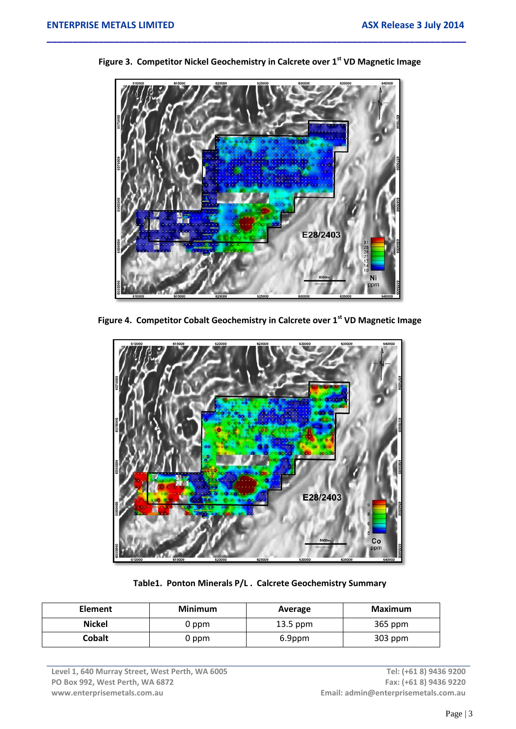

**Figure 3. Competitor Nickel Geochemistry in Calcrete over 1st VD Magnetic Image**

**\_\_\_\_\_\_\_\_\_\_\_\_\_\_\_\_\_\_\_\_\_\_\_\_\_\_\_\_\_\_\_\_\_\_\_\_\_\_\_\_\_\_\_\_\_\_\_\_\_\_\_\_\_\_\_\_\_\_\_\_\_\_\_\_\_\_\_\_\_\_\_\_\_\_\_\_\_\_\_\_\_**

**Figure 4. Competitor Cobalt Geochemistry in Calcrete over 1st VD Magnetic Image**



**Table1. Ponton Minerals P/L . Calcrete Geochemistry Summary**

| <b>Element</b> | <b>Minimum</b> | Average    | <b>Maximum</b> |
|----------------|----------------|------------|----------------|
| <b>Nickel</b>  | 0 ppm          | $13.5$ ppm | 365 ppm        |
| <b>Cobalt</b>  | 0 ppm          | 6.9ppm     | 303 ppm        |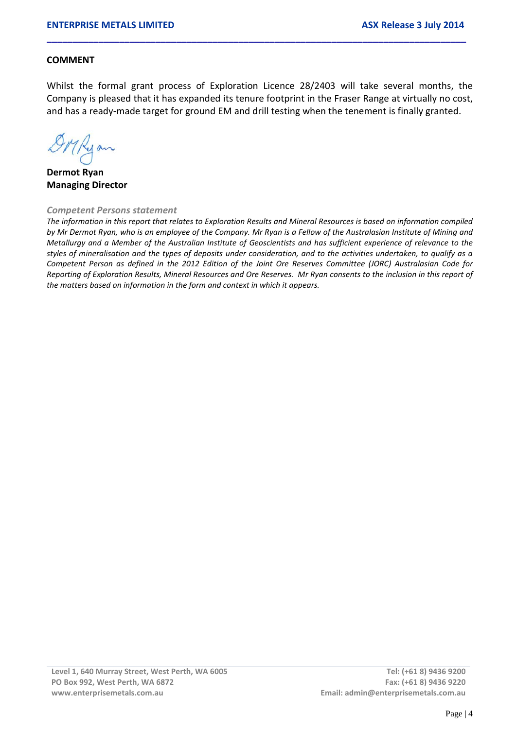### **COMMENT**

Whilst the formal grant process of Exploration Licence 28/2403 will take several months, the Company is pleased that it has expanded its tenure footprint in the Fraser Range at virtually no cost, and has a ready-made target for ground EM and drill testing when the tenement is finally granted.

**\_\_\_\_\_\_\_\_\_\_\_\_\_\_\_\_\_\_\_\_\_\_\_\_\_\_\_\_\_\_\_\_\_\_\_\_\_\_\_\_\_\_\_\_\_\_\_\_\_\_\_\_\_\_\_\_\_\_\_\_\_\_\_\_\_\_\_\_\_\_\_\_\_\_\_\_\_\_\_\_\_**

Myan

**Dermot Ryan Managing Director**

#### *Competent Persons statement*

*The information in this report that relates to Exploration Results and Mineral Resources is based on information compiled by Mr Dermot Ryan, who is an employee of the Company. Mr Ryan is a Fellow of the Australasian Institute of Mining and Metallurgy and a Member of the Australian Institute of Geoscientists and has sufficient experience of relevance to the styles of mineralisation and the types of deposits under consideration, and to the activities undertaken, to qualify as a Competent Person as defined in the 2012 Edition of the Joint Ore Reserves Committee (JORC) Australasian Code for Reporting of Exploration Results, Mineral Resources and Ore Reserves. Mr Ryan consents to the inclusion in this report of the matters based on information in the form and context in which it appears.*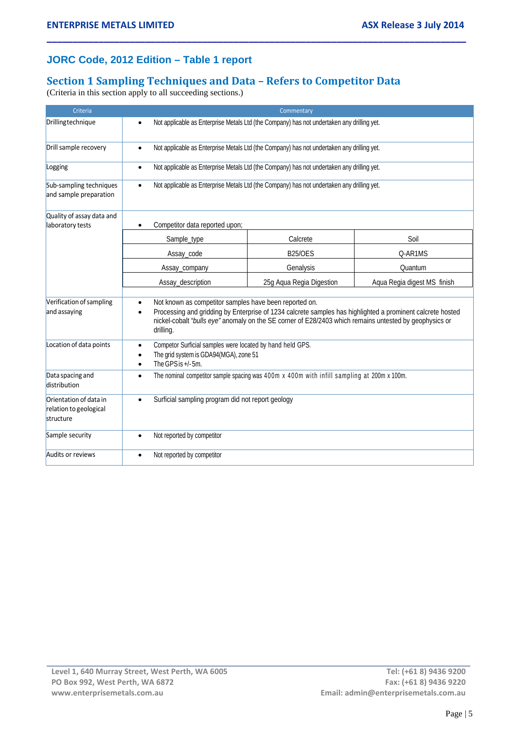# **JORC Code, 2012 Edition – Table 1 report**

## **Section 1 Sampling Techniques and Data – Refers to Competitor Data**

**\_\_\_\_\_\_\_\_\_\_\_\_\_\_\_\_\_\_\_\_\_\_\_\_\_\_\_\_\_\_\_\_\_\_\_\_\_\_\_\_\_\_\_\_\_\_\_\_\_\_\_\_\_\_\_\_\_\_\_\_\_\_\_\_\_\_\_\_\_\_\_\_\_\_\_\_\_\_\_\_\_**

(Criteria in this section apply to all succeeding sections.)

| Criteria                                                      | Commentary                                                                                                                                                                                                                                                                                  |                          |                             |  |
|---------------------------------------------------------------|---------------------------------------------------------------------------------------------------------------------------------------------------------------------------------------------------------------------------------------------------------------------------------------------|--------------------------|-----------------------------|--|
| Drillingtechnique                                             | Not applicable as Enterprise Metals Ltd (the Company) has not undertaken any drilling yet.<br>$\bullet$                                                                                                                                                                                     |                          |                             |  |
| Drill sample recovery                                         | Not applicable as Enterprise Metals Ltd (the Company) has not undertaken any drilling yet.<br>$\bullet$                                                                                                                                                                                     |                          |                             |  |
| Logging                                                       | Not applicable as Enterprise Metals Ltd (the Company) has not undertaken any drilling yet.<br>$\bullet$                                                                                                                                                                                     |                          |                             |  |
| Sub-sampling techniques<br>and sample preparation             | Not applicable as Enterprise Metals Ltd (the Company) has not undertaken any drilling yet.<br>$\bullet$                                                                                                                                                                                     |                          |                             |  |
| Quality of assay data and<br>laboratory tests                 | Competitor data reported upon;                                                                                                                                                                                                                                                              |                          |                             |  |
|                                                               | Sample_type                                                                                                                                                                                                                                                                                 | Calcrete                 | Soil                        |  |
|                                                               | Assay_code                                                                                                                                                                                                                                                                                  | <b>B25/OES</b>           | Q-AR1MS                     |  |
|                                                               | Assay_company                                                                                                                                                                                                                                                                               | Genalysis                | Quantum                     |  |
|                                                               | Assay_description                                                                                                                                                                                                                                                                           | 25g Aqua Regia Digestion | Aqua Regia digest MS finish |  |
| Verification of sampling<br>and assaying                      | Not known as competitor samples have been reported on.<br>Processing and gridding by Enterprise of 1234 calcrete samples has highlighted a prominent calcrete hosted<br>nickel-cobalt "bulls eye" anomaly on the SE corner of E28/2403 which remains untested by geophysics or<br>drilling. |                          |                             |  |
| Location of data points                                       | Competor Surficial samples were located by hand held GPS.<br>$\bullet$<br>The grid system is GDA94(MGA), zone 51<br>The GPS is $+/-5$ m.                                                                                                                                                    |                          |                             |  |
| Data spacing and<br>distribution                              | The nominal competitor sample spacing was 400m x 400m with infill sampling at 200m x 100m.<br>$\bullet$                                                                                                                                                                                     |                          |                             |  |
| Orientation of data in<br>relation to geological<br>structure | Surficial sampling program did not report geology<br>$\bullet$                                                                                                                                                                                                                              |                          |                             |  |
| Sample security                                               | Not reported by competitor<br>$\bullet$                                                                                                                                                                                                                                                     |                          |                             |  |
| Audits or reviews                                             | Not reported by competitor<br>$\bullet$                                                                                                                                                                                                                                                     |                          |                             |  |